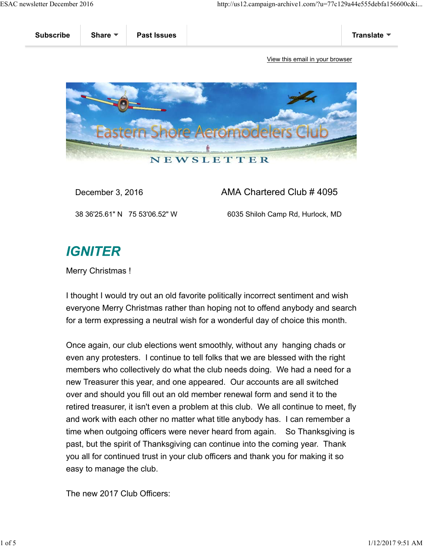

December 3, 2016 **AMA Chartered Club # 4095** 

38 36'25.61" N 75 53'06.52" W 6035 Shiloh Camp Rd, Hurlock, MD

# **IGNITER**

Merry Christmas !

I thought I would try out an old favorite politically incorrect sentiment and wish everyone Merry Christmas rather than hoping not to offend anybody and search for a term expressing a neutral wish for a wonderful day of choice this month.

Once again, our club elections went smoothly, without any hanging chads or even any protesters. I continue to tell folks that we are blessed with the right members who collectively do what the club needs doing. We had a need for a new Treasurer this year, and one appeared. Our accounts are all switched over and should you fill out an old member renewal form and send it to the retired treasurer, it isn't even a problem at this club. We all continue to meet, fly and work with each other no matter what title anybody has. I can remember a time when outgoing officers were never heard from again. So Thanksgiving is past, but the spirit of Thanksgiving can continue into the coming year. Thank you all for continued trust in your club officers and thank you for making it so easy to manage the club.

The new 2017 Club Officers: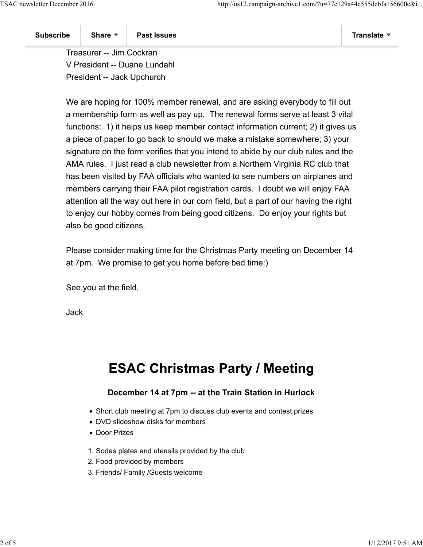Treasurer -- Jim Cockran V President -- Duane Lundahl President -- Jack Upchurch

We are hoping for 100% member renewal, and are asking everybody to fill out a membership form as well as pay up. The renewal forms serve at least 3 vital functions: 1) it helps us keep member contact information current; 2) it gives us a piece of paper to go back to should we make a mistake somewhere; 3) your signature on the form verifies that you intend to abide by our club rules and the AMA rules. I just read a club newsletter from a Northern Virginia RC club that has been visited by FAA officials who wanted to see numbers on airplanes and members carrying their FAA pilot registration cards. I doubt we will enjoy FAA attention all the way out here in our corn field, but a part of our having the right to enjoy our hobby comes from being good citizens. Do enjoy your rights but also be good citizens.

Please consider making time for the Christmas Party meeting on December 14 at 7pm. We promise to get you home before bed time:)

See you at the field,

Jack

## **ESAC Christmas Party / Meeting**

### **December 14 at 7pm -- at the Train Station in Hurlock**

- Short club meeting at 7pm to discuss club events and contest prizes
- DVD slideshow disks for members
- Door Prizes
- 1. Sodas plates and utensils provided by the club
- 2. Food provided by members
- 3. Friends/ Family /Guests welcome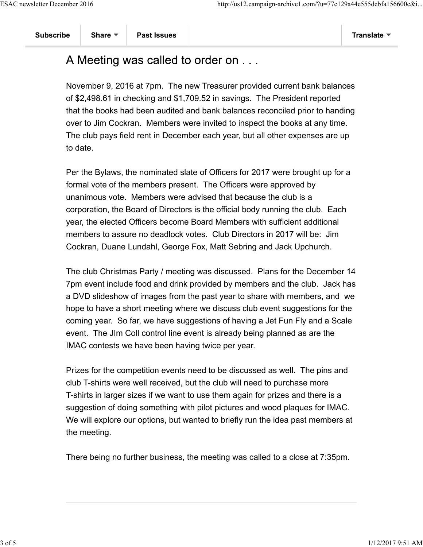## A Meeting was called to order on . . .

November 9, 2016 at 7pm. The new Treasurer provided current bank balances of \$2,498.61 in checking and \$1,709.52 in savings. The President reported that the books had been audited and bank balances reconciled prior to handing over to Jim Cockran. Members were invited to inspect the books at any time. The club pays field rent in December each year, but all other expenses are up to date.

Per the Bylaws, the nominated slate of Officers for 2017 were brought up for a formal vote of the members present. The Officers were approved by unanimous vote. Members were advised that because the club is a corporation, the Board of Directors is the official body running the club. Each year, the elected Officers become Board Members with sufficient additional members to assure no deadlock votes. Club Directors in 2017 will be: Jim Cockran, Duane Lundahl, George Fox, Matt Sebring and Jack Upchurch.

The club Christmas Party / meeting was discussed. Plans for the December 14 7pm event include food and drink provided by members and the club. Jack has a DVD slideshow of images from the past year to share with members, and we hope to have a short meeting where we discuss club event suggestions for the coming year. So far, we have suggestions of having a Jet Fun Fly and a Scale event. The JIm Coll control line event is already being planned as are the IMAC contests we have been having twice per year.

Prizes for the competition events need to be discussed as well. The pins and club T-shirts were well received, but the club will need to purchase more T-shirts in larger sizes if we want to use them again for prizes and there is a suggestion of doing something with pilot pictures and wood plaques for IMAC. We will explore our options, but wanted to briefly run the idea past members at the meeting.

There being no further business, the meeting was called to a close at 7:35pm.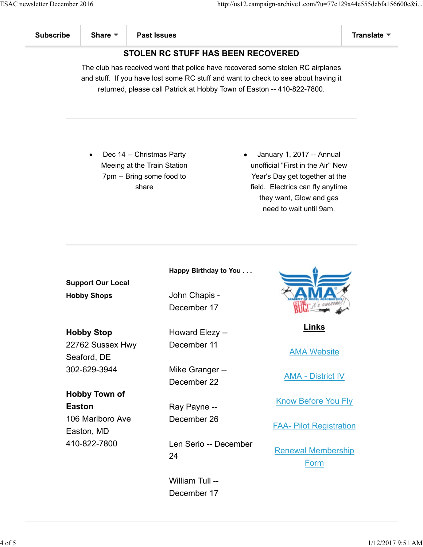### **STOLEN RC STUFF HAS BEEN RECOVERED**

The club has received word that police have recovered some stolen RC airplanes and stuff. If you have lost some RC stuff and want to check to see about having it returned, please call Patrick at Hobby Town of Easton -- 410-822-7800.

Dec 14 -- Christmas Party Meeing at the Train Station 7pm -- Bring some food to share

January 1, 2017 -- Annual unofficial "First in the Air" New Year's Day get together at the field. Electrics can fly anytime they want, Glow and gas need to wait until 9am.

**Support Our Local Hobby Shops**

**Hobby Stop** 22762 Sussex Hwy Seaford, DE 302-629-3944

**Hobby Town of Easton** 106 Marlboro Ave Easton, MD 410-822-7800

**Happy Birthday to You . . .**

John Chapis - December 17

Howard Elezy -- December 11

Mike Granger -- December 22

Ray Payne -- December 26

Len Serio -- December 24

William Tull -- December 17



**Links**

AMA Website

AMA - District IV

Know Before You Fly

FAA- Pilot Registration

Renewal Membership Form